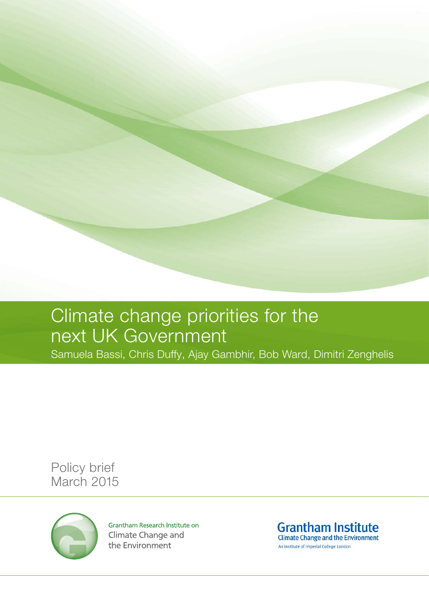## Climate change priorities for the next UK Government

Samuela Bassi, Chris Duffy, Ajay Gambhir, Bob Ward, Dimitri Zenghelis

Policy brief March 2015



Grantham Research Institute on **Climate Change and** the Environment

**Grantham Institute Climate Change and the Environment** An institute of Imperial College London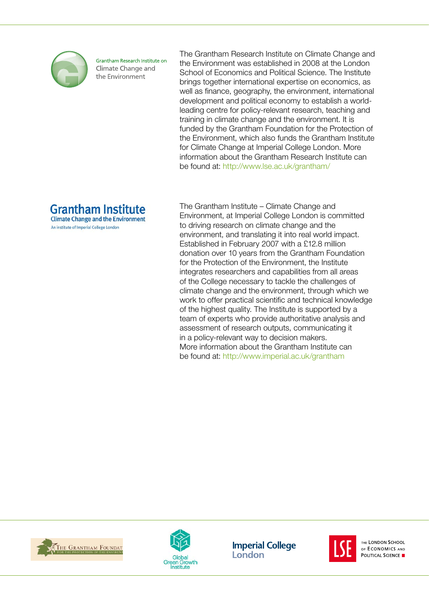

Grantham Research Institute on Climate Change and the Environment

The Grantham Research Institute on Climate Change and the Environment was established in 2008 at the London School of Economics and Political Science. The Institute brings together international expertise on economics, as well as finance, geography, the environment, international development and political economy to establish a worldleading centre for policy-relevant research, teaching and training in climate change and the environment. It is funded by the Grantham Foundation for the Protection of the Environment, which also funds the Grantham Institute for Climate Change at Imperial College London. More information about the Grantham Research Institute can be found at: [http://www.lse.ac.uk/grantham/](http://www.lse.ac.uk/grantham)



An institute of Imperial College London

The Grantham Institute – Climate Change and Environment, at Imperial College London is committed to driving research on climate change and the environment, and translating it into real world impact. Established in February 2007 with a £12.8 million donation over 10 years from the Grantham Foundation for the Protection of the Environment, the Institute integrates researchers and capabilities from all areas of the College necessary to tackle the challenges of climate change and the environment, through which we work to offer practical scientific and technical knowledge of the highest quality. The Institute is supported by a team of experts who provide authoritative analysis and assessment of research outputs, communicating it in a policy-relevant way to decision makers. More information about the Grantham Institute can be found at: http://www.imperial.ac.uk/grantham





**Imperial College** London



THE LONDON SCHOOL OF ECONOMICS AND POLITICAL SCIENCE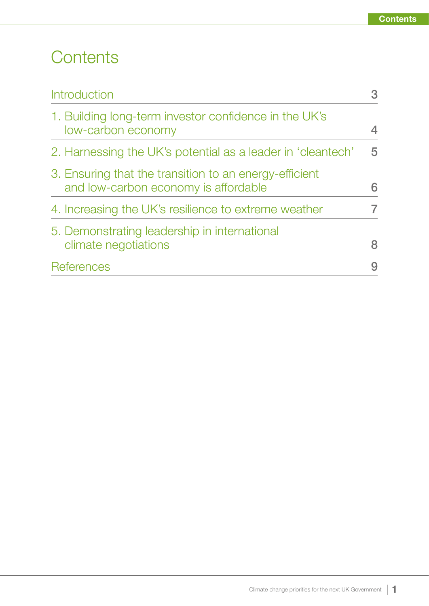### **Contents**

| <b>Introduction</b>                                                                            |   |
|------------------------------------------------------------------------------------------------|---|
| 1. Building long-term investor confidence in the UK's<br>low-carbon economy                    |   |
| 2. Harnessing the UK's potential as a leader in 'cleantech'                                    | 5 |
| 3. Ensuring that the transition to an energy-efficient<br>and low-carbon economy is affordable | 6 |
| 4. Increasing the UK's resilience to extreme weather                                           |   |
| 5. Demonstrating leadership in international<br>climate negotiations                           | 8 |
| <b>References</b>                                                                              |   |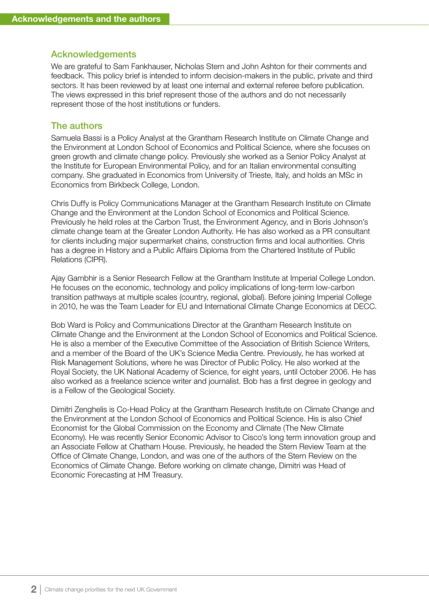#### Acknowledgements

We are grateful to Sam Fankhauser, Nicholas Stern and John Ashton for their comments and feedback. This policy brief is intended to inform decision-makers in the public, private and third sectors. It has been reviewed by at least one internal and external referee before publication. The views expressed in this brief represent those of the authors and do not necessarily represent those of the host institutions or funders.

#### The authors

Samuela Bassi is a Policy Analyst at the Grantham Research Institute on Climate Change and the Environment at London School of Economics and Political Science, where she focuses on green growth and climate change policy. Previously she worked as a Senior Policy Analyst at the Institute for European Environmental Policy, and for an Italian environmental consulting company. She graduated in Economics from University of Trieste, Italy, and holds an MSc in Economics from Birkbeck College, London.

Chris Duffy is Policy Communications Manager at the Grantham Research Institute on Climate Change and the Environment at the London School of Economics and Political Science. Previously he held roles at the Carbon Trust, the Environment Agency, and in Boris Johnson's climate change team at the Greater London Authority. He has also worked as a PR consultant for clients including major supermarket chains, construction firms and local authorities. Chris has a degree in History and a Public Affairs Diploma from the Chartered Institute of Public Relations (CIPR).

Ajay Gambhir is a Senior Research Fellow at the Grantham Institute at Imperial College London. He focuses on the economic, technology and policy implications of long-term low-carbon transition pathways at multiple scales (country, regional, global). Before joining Imperial College in 2010, he was the Team Leader for EU and International Climate Change Economics at DECC.

Bob Ward is Policy and Communications Director at the Grantham Research Institute on Climate Change and the Environment at the London School of Economics and Political Science. He is also a member of the Executive Committee of the Association of British Science Writers, and a member of the Board of the UK's Science Media Centre. Previously, he has worked at Risk Management Solutions, where he was Director of Public Policy. He also worked at the Royal Society, the UK National Academy of Science, for eight years, until October 2006. He has also worked as a freelance science writer and journalist. Bob has a first degree in geology and is a Fellow of the Geological Society.

Dimitri Zenghelis is Co-Head Policy at the Grantham Research Institute on Climate Change and the Environment at the London School of Economics and Political Science. His is also Chief Economist for the Global Commission on the Economy and Climate (The New Climate Economy). He was recently Senior Economic Advisor to Cisco's long term innovation group and an Associate Fellow at Chatham House. Previously, he headed the Stern Review Team at the Office of Climate Change, London, and was one of the authors of the Stern Review on the Economics of Climate Change. Before working on climate change, Dimitri was Head of Economic Forecasting at HM Treasury.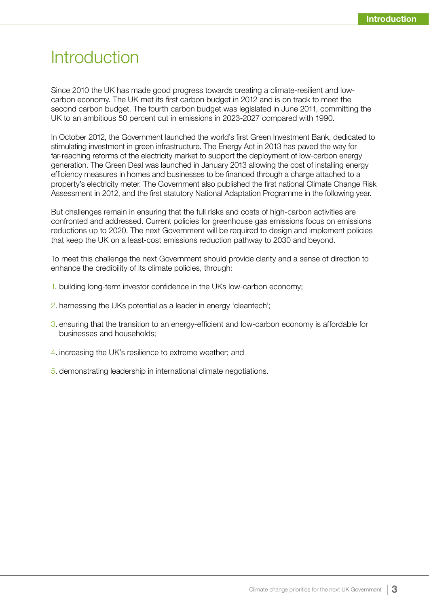#### <span id="page-4-0"></span>**Introduction**

Since 2010 the UK has made good progress towards creating a climate-resilient and lowcarbon economy. The UK met its first carbon budget in 2012 and is on track to meet the second carbon budget. The fourth carbon budget was legislated in June 2011, committing the UK to an ambitious 50 percent cut in emissions in 2023-2027 compared with 1990.

In October 2012, the Government launched the world's first Green Investment Bank, dedicated to stimulating investment in green infrastructure. The Energy Act in 2013 has paved the way for far-reaching reforms of the electricity market to support the deployment of low-carbon energy generation. The Green Deal was launched in January 2013 allowing the cost of installing energy efficiency measures in homes and businesses to be financed through a charge attached to a property's electricity meter. The Government also published the first national Climate Change Risk Assessment in 2012, and the first statutory National Adaptation Programme in the following year.

But challenges remain in ensuring that the full risks and costs of high-carbon activities are confronted and addressed. Current policies for greenhouse gas emissions focus on emissions reductions up to 2020. The next Government will be required to design and implement policies that keep the UK on a least-cost emissions reduction pathway to 2030 and beyond.

To meet this challenge the next Government should provide clarity and a sense of direction to enhance the credibility of its climate policies, through:

- 1. building long-term investor confidence in the UKs low-carbon economy;
- 2. harnessing the UKs potential as a leader in energy 'cleantech';
- 3. ensuring that the transition to an energy-efficient and low-carbon economy is affordable for businesses and households;
- 4. increasing the UK's resilience to extreme weather; and
- 5. demonstrating leadership in international climate negotiations.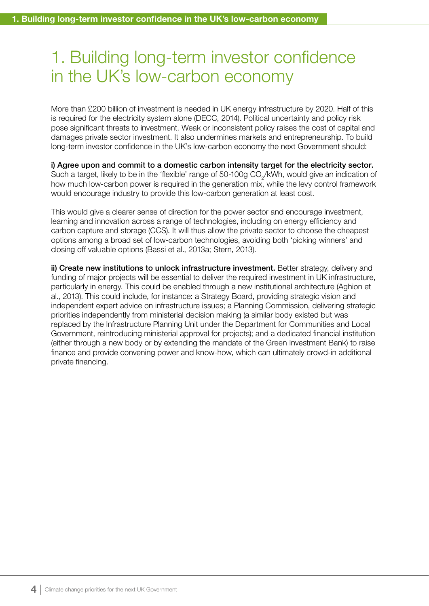### <span id="page-5-0"></span>1. Building long-term investor confidence in the UK's low-carbon economy

More than £200 billion of investment is needed in UK energy infrastructure by 2020. Half of this is required for the electricity system alone (DECC, 2014). Political uncertainty and policy risk pose significant threats to investment. Weak or inconsistent policy raises the cost of capital and damages private sector investment. It also undermines markets and entrepreneurship. To build long-term investor confidence in the UK's low-carbon economy the next Government should:

i) Agree upon and commit to a domestic carbon intensity target for the electricity sector. Such a target, likely to be in the 'flexible' range of 50-100g CO<sub>2</sub>/kWh, would give an indication of how much low-carbon power is required in the generation mix, while the levy control framework would encourage industry to provide this low-carbon generation at least cost.

This would give a clearer sense of direction for the power sector and encourage investment, learning and innovation across a range of technologies, including on energy efficiency and carbon capture and storage (CCS). It will thus allow the private sector to choose the cheapest options among a broad set of low-carbon technologies, avoiding both 'picking winners' and closing off valuable options (Bassi et al., 2013a; Stern, 2013).

ii) Create new institutions to unlock infrastructure investment. Better strategy, delivery and funding of major projects will be essential to deliver the required investment in UK infrastructure, particularly in energy. This could be enabled through a new institutional architecture (Aghion et al., 2013). This could include, for instance: a Strategy Board, providing strategic vision and independent expert advice on infrastructure issues; a Planning Commission, delivering strategic priorities independently from ministerial decision making (a similar body existed but was replaced by the Infrastructure Planning Unit under the Department for Communities and Local Government, reintroducing ministerial approval for projects); and a dedicated financial institution (either through a new body or by extending the mandate of the Green Investment Bank) to raise finance and provide convening power and know-how, which can ultimately crowd-in additional private financing.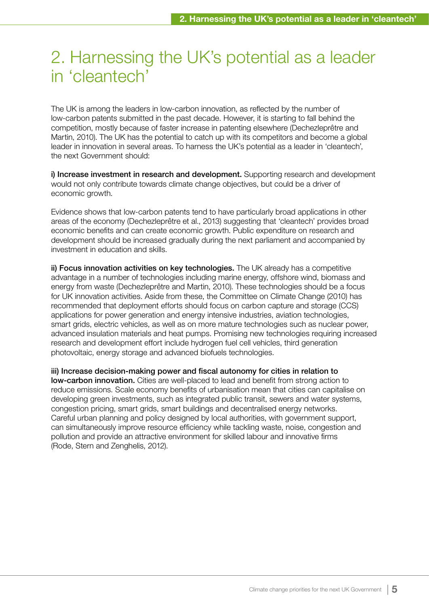### <span id="page-6-0"></span>2. Harnessing the UK's potential as a leader in 'cleantech'

The UK is among the leaders in low-carbon innovation, as reflected by the number of low-carbon patents submitted in the past decade. However, it is starting to fall behind the competition, mostly because of faster increase in patenting elsewhere (Dechezleprêtre and Martin, 2010). The UK has the potential to catch up with its competitors and become a global leader in innovation in several areas. To harness the UK's potential as a leader in 'cleantech', the next Government should:

i) Increase investment in research and development. Supporting research and development would not only contribute towards climate change objectives, but could be a driver of economic growth.

Evidence shows that low-carbon patents tend to have particularly broad applications in other areas of the economy (Dechezleprêtre et al., 2013) suggesting that 'cleantech' provides broad economic benefits and can create economic growth. Public expenditure on research and development should be increased gradually during the next parliament and accompanied by investment in education and skills.

ii) Focus innovation activities on key technologies. The UK already has a competitive advantage in a number of technologies including marine energy, offshore wind, biomass and energy from waste (Dechezleprêtre and Martin, 2010). These technologies should be a focus for UK innovation activities. Aside from these, the Committee on Climate Change (2010) has recommended that deployment efforts should focus on carbon capture and storage (CCS) applications for power generation and energy intensive industries, aviation technologies, smart grids, electric vehicles, as well as on more mature technologies such as nuclear power, advanced insulation materials and heat pumps. Promising new technologies requiring increased research and development effort include hydrogen fuel cell vehicles, third generation photovoltaic, energy storage and advanced biofuels technologies.

iii) Increase decision-making power and fiscal autonomy for cities in relation to low-carbon innovation. Cities are well-placed to lead and benefit from strong action to reduce emissions. Scale economy benefits of urbanisation mean that cities can capitalise on developing green investments, such as integrated public transit, sewers and water systems, congestion pricing, smart grids, smart buildings and decentralised energy networks. Careful urban planning and policy designed by local authorities, with government support, can simultaneously improve resource efficiency while tackling waste, noise, congestion and pollution and provide an attractive environment for skilled labour and innovative firms (Rode, Stern and Zenghelis, 2012).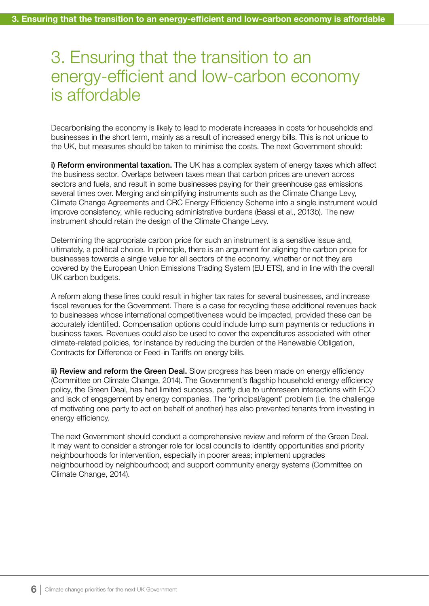#### <span id="page-7-0"></span>3. Ensuring that the transition to an energy-efficient and low-carbon economy is affordable

Decarbonising the economy is likely to lead to moderate increases in costs for households and businesses in the short term, mainly as a result of increased energy bills. This is not unique to the UK, but measures should be taken to minimise the costs. The next Government should:

i) Reform environmental taxation. The UK has a complex system of energy taxes which affect the business sector. Overlaps between taxes mean that carbon prices are uneven across sectors and fuels, and result in some businesses paying for their greenhouse gas emissions several times over. Merging and simplifying instruments such as the Climate Change Levy, Climate Change Agreements and CRC Energy Efficiency Scheme into a single instrument would improve consistency, while reducing administrative burdens (Bassi et al., 2013b). The new instrument should retain the design of the Climate Change Levy.

Determining the appropriate carbon price for such an instrument is a sensitive issue and, ultimately, a political choice. In principle, there is an argument for aligning the carbon price for businesses towards a single value for all sectors of the economy, whether or not they are covered by the European Union Emissions Trading System (EU ETS), and in line with the overall UK carbon budgets.

A reform along these lines could result in higher tax rates for several businesses, and increase fiscal revenues for the Government. There is a case for recycling these additional revenues back to businesses whose international competitiveness would be impacted, provided these can be accurately identified. Compensation options could include lump sum payments or reductions in business taxes. Revenues could also be used to cover the expenditures associated with other climate-related policies, for instance by reducing the burden of the Renewable Obligation, Contracts for Difference or Feed-in Tariffs on energy bills.

ii) Review and reform the Green Deal. Slow progress has been made on energy efficiency (Committee on Climate Change, 2014). The Government's flagship household energy efficiency policy, the Green Deal, has had limited success, partly due to unforeseen interactions with ECO and lack of engagement by energy companies. The 'principal/agent' problem (i.e. the challenge of motivating one party to act on behalf of another) has also prevented tenants from investing in energy efficiency.

The next Government should conduct a comprehensive review and reform of the Green Deal. It may want to consider a stronger role for local councils to identify opportunities and priority neighbourhoods for intervention, especially in poorer areas; implement upgrades neighbourhood by neighbourhood; and support community energy systems (Committee on Climate Change, 2014).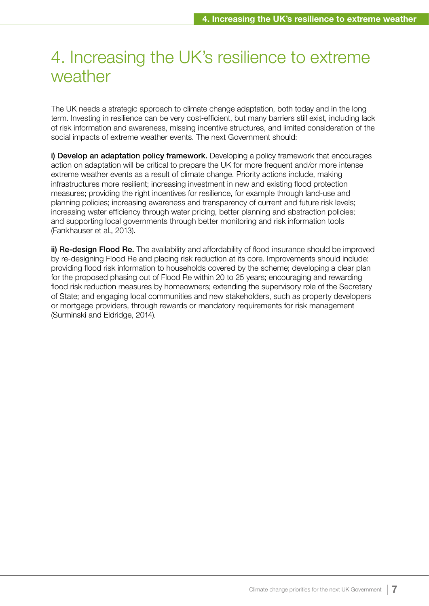#### <span id="page-8-0"></span>4. Increasing the UK's resilience to extreme weather

The UK needs a strategic approach to climate change adaptation, both today and in the long term. Investing in resilience can be very cost-efficient, but many barriers still exist, including lack of risk information and awareness, missing incentive structures, and limited consideration of the social impacts of extreme weather events. The next Government should:

i) Develop an adaptation policy framework. Developing a policy framework that encourages action on adaptation will be critical to prepare the UK for more frequent and/or more intense extreme weather events as a result of climate change. Priority actions include, making infrastructures more resilient; increasing investment in new and existing flood protection measures; providing the right incentives for resilience, for example through land-use and planning policies; increasing awareness and transparency of current and future risk levels; increasing water efficiency through water pricing, better planning and abstraction policies; and supporting local governments through better monitoring and risk information tools (Fankhauser et al., 2013).

ii) Re-design Flood Re. The availability and affordability of flood insurance should be improved by re-designing Flood Re and placing risk reduction at its core. Improvements should include: providing flood risk information to households covered by the scheme; developing a clear plan for the proposed phasing out of Flood Re within 20 to 25 years; encouraging and rewarding flood risk reduction measures by homeowners; extending the supervisory role of the Secretary of State; and engaging local communities and new stakeholders, such as property developers or mortgage providers, through rewards or mandatory requirements for risk management (Surminski and Eldridge, 2014).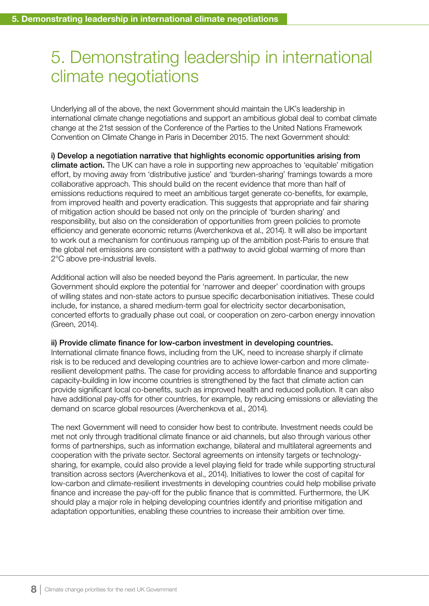### <span id="page-9-0"></span>5. Demonstrating leadership in international climate negotiations

Underlying all of the above, the next Government should maintain the UK's leadership in international climate change negotiations and support an ambitious global deal to combat climate change at the 21st session of the Conference of the Parties to the United Nations Framework Convention on Climate Change in Paris in December 2015. The next Government should:

i) Develop a negotiation narrative that highlights economic opportunities arising from climate action. The UK can have a role in supporting new approaches to 'equitable' mitigation effort, by moving away from 'distributive justice' and 'burden-sharing' framings towards a more collaborative approach. This should build on the recent evidence that more than half of emissions reductions required to meet an ambitious target generate co-benefits, for example, from improved health and poverty eradication. This suggests that appropriate and fair sharing of mitigation action should be based not only on the principle of 'burden sharing' and responsibility, but also on the consideration of opportunities from green policies to promote efficiency and generate economic returns (Averchenkova et al., 2014). It will also be important to work out a mechanism for continuous ramping up of the ambition post-Paris to ensure that the global net emissions are consistent with a pathway to avoid global warming of more than 2°C above pre-industrial levels.

Additional action will also be needed beyond the Paris agreement. In particular, the new Government should explore the potential for 'narrower and deeper' coordination with groups of willing states and non-state actors to pursue specific decarbonisation initiatives. These could include, for instance, a shared medium-term goal for electricity sector decarbonisation, concerted efforts to gradually phase out coal, or cooperation on zero-carbon energy innovation (Green, 2014).

#### ii) Provide climate finance for low-carbon investment in developing countries.

International climate finance flows, including from the UK, need to increase sharply if climate risk is to be reduced and developing countries are to achieve lower-carbon and more climateresilient development paths. The case for providing access to affordable finance and supporting capacity-building in low income countries is strengthened by the fact that climate action can provide significant local co-benefits, such as improved health and reduced pollution. It can also have additional pay-offs for other countries, for example, by reducing emissions or alleviating the demand on scarce global resources (Averchenkova et al., 2014).

The next Government will need to consider how best to contribute. Investment needs could be met not only through traditional climate finance or aid channels, but also through various other forms of partnerships, such as information exchange, bilateral and multilateral agreements and cooperation with the private sector. Sectoral agreements on intensity targets or technologysharing, for example, could also provide a level playing field for trade while supporting structural transition across sectors (Averchenkova et al., 2014). Initiatives to lower the cost of capital for low-carbon and climate-resilient investments in developing countries could help mobilise private finance and increase the pay-off for the public finance that is committed. Furthermore, the UK should play a major role in helping developing countries identify and prioritise mitigation and adaptation opportunities, enabling these countries to increase their ambition over time.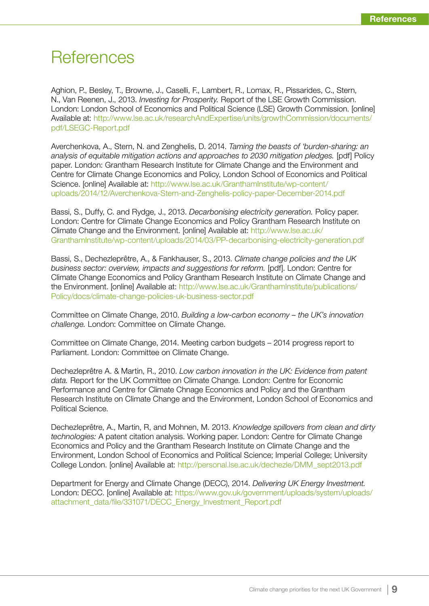#### <span id="page-10-0"></span>**References**

Aghion, P., Besley, T., Browne, J., Caselli, F., Lambert, R., Lomax, R., Pissarides, C., Stern, N., Van Reenen, J., 2013. Investing for Prosperity. Report of the LSE Growth Commission. London: London School of Economics and Political Science (LSE) Growth Commission. [online] Available at: http://www.lse.ac.uk/researchAndExpertise/units/growthCommission/documents/ pdf/LSEGC-Report.pdf

Averchenkova, A., Stern, N. and Zenghelis, D. 2014. Taming the beasts of 'burden-sharing: an analysis of equitable mitigation actions and approaches to 2030 mitigation pledges. [pdf] Policy paper. London: Grantham Research Institute for Climate Change and the Environment and Centre for Climate Change Economics and Policy, London School of Economics and Political Science. [online] Available at: http://www.lse.ac.uk/GranthamInstitute/wp-content/ uploads/2014/12/Averchenkova-Stern-and-Zenghelis-policy-paper-December-2014.pdf

Bassi, S., Duffy, C. and Rydge, J., 2013. Decarbonising electricity generation. Policy paper. London: Centre for Climate Change Economics and Policy Grantham Research Institute on Climate Change and the Environment. [online] Available at: http://www.lse.ac.uk/ GranthamInstitute/wp-content/uploads/2014/03/PP-decarbonising-electricity-generation.pdf

Bassi, S., Dechezleprêtre, A., & Fankhauser, S., 2013. Climate change policies and the UK business sector: overview, impacts and suggestions for reform. [pdf]. London: Centre for Climate Change Economics and Policy Grantham Research Institute on Climate Change and the Environment. [online] Available at: http://www.lse.ac.uk/GranthamInstitute/publications/ Policy/docs/climate-change-policies-uk-business-sector.pdf

Committee on Climate Change, 2010. Building a low-carbon economy – the UK's innovation challenge. London: Committee on Climate Change.

Committee on Climate Change, 2014. Meeting carbon budgets – 2014 progress report to Parliament. London: Committee on Climate Change.

Dechezleprêtre A. & Martin, R., 2010. Low carbon innovation in the UK: Evidence from patent data. Report for the UK Committee on Climate Change. London: Centre for Economic Performance and Centre for Climate Chnage Economics and Policy and the Grantham Research Institute on Climate Change and the Environment, London School of Economics and Political Science.

Dechezleprêtre, A., Martin, R, and Mohnen, M. 2013. Knowledge spillovers from clean and dirty technologies: A patent citation analysis. Working paper. London: Centre for Climate Change Economics and Policy and the Grantham Research Institute on Climate Change and the Environment, London School of Economics and Political Science; Imperial College; University College London. [online] Available at: http://personal.lse.ac.uk/dechezle/DMM\_sept2013.pdf

Department for Energy and Climate Change (DECC), 2014. Delivering UK Energy Investment. London: DECC. [online] Available at: https://www.gov.uk/government/uploads/system/uploads/ attachment\_data/file/331071/DECC\_Energy\_Investment\_Report.pdf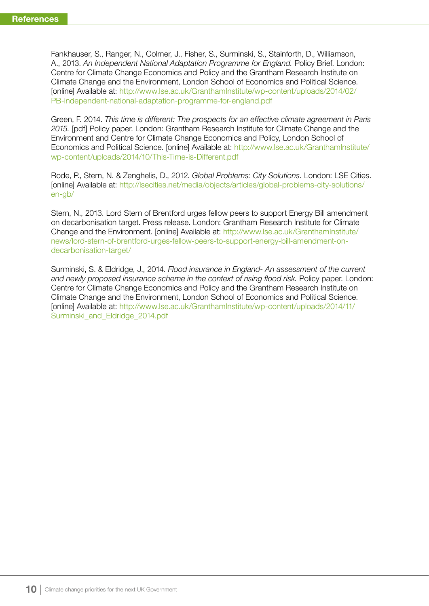Fankhauser, S., Ranger, N., Colmer, J., Fisher, S., Surminski, S., Stainforth, D., Williamson, A., 2013. An Independent National Adaptation Programme for England. Policy Brief. London: Centre for Climate Change Economics and Policy and the Grantham Research Institute on Climate Change and the Environment, London School of Economics and Political Science. [online] Available at: http://www.lse.ac.uk/GranthamInstitute/wp-content/uploads/2014/02/ PB-independent-national-adaptation-programme-for-england.pdf

Green, F. 2014. This time is different: The prospects for an effective climate agreement in Paris 2015. [pdf] Policy paper. London: Grantham Research Institute for Climate Change and the Environment and Centre for Climate Change Economics and Policy, London School of Economics and Political Science. [online] Available at: http://www.lse.ac.uk/GranthamInstitute/ wp-content/uploads/2014/10/This-Time-is-Different.pdf

Rode, P., Stern, N. & Zenghelis, D., 2012. Global Problems: City Solutions. London: LSE Cities. [online] Available at: http://lsecities.net/media/objects/articles/global-problems-city-solutions/ en-gb/

Stern, N., 2013. Lord Stern of Brentford urges fellow peers to support Energy Bill amendment on decarbonisation target. Press release. London: Grantham Research Institute for Climate Change and the Environment. [online] Available at: http://www.lse.ac.uk/GranthamInstitute/ news/lord-stern-of-brentford-urges-fellow-peers-to-support-energy-bill-amendment-ondecarbonisation-target/

Surminski, S. & Eldridge, J., 2014. Flood insurance in England- An assessment of the current and newly proposed insurance scheme in the context of rising flood risk. Policy paper. London: Centre for Climate Change Economics and Policy and the Grantham Research Institute on Climate Change and the Environment, London School of Economics and Political Science. [online] Available at: http://www.lse.ac.uk/GranthamInstitute/wp-content/uploads/2014/11/ Surminski and Eldridge 2014.pdf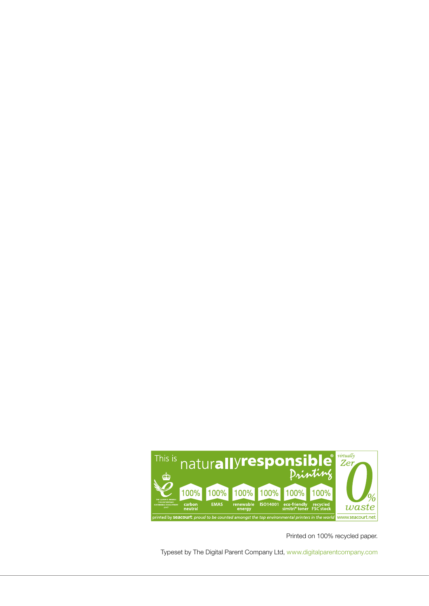

Printed on 100% recycled paper.

Typeset by The Digital Parent Company Ltd,<www.digitalparentcompany.com>